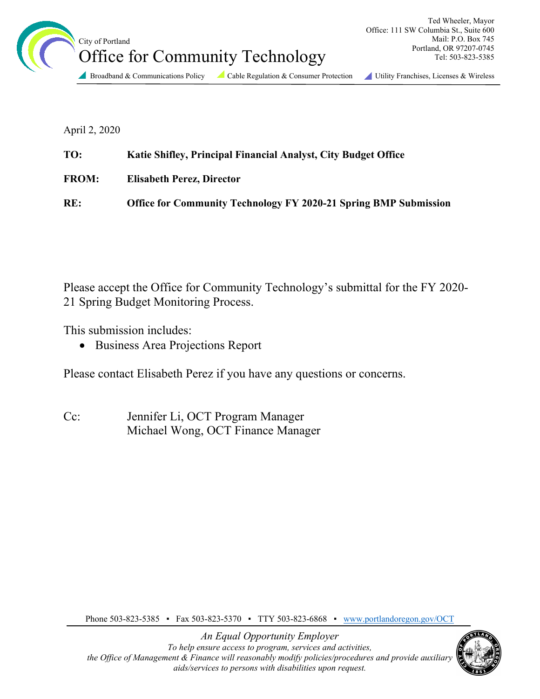

April 2, 2020

| TO:          | Katie Shifley, Principal Financial Analyst, City Budget Office          |
|--------------|-------------------------------------------------------------------------|
| <b>FROM:</b> | <b>Elisabeth Perez, Director</b>                                        |
| RE:          | <b>Office for Community Technology FY 2020-21 Spring BMP Submission</b> |

Please accept the Office for Community Technology's submittal for the FY 2020- 21 Spring Budget Monitoring Process.

This submission includes:

• Business Area Projections Report

Please contact Elisabeth Perez if you have any questions or concerns.

Cc: Jennifer Li, OCT Program Manager Michael Wong, OCT Finance Manager

Phone 503-823-5385 • Fax 503-823-5370 • TTY 503-823-6868 • [www.portlandoregon.gov/OCT](http://www.portlandoregon.gov/OCT)